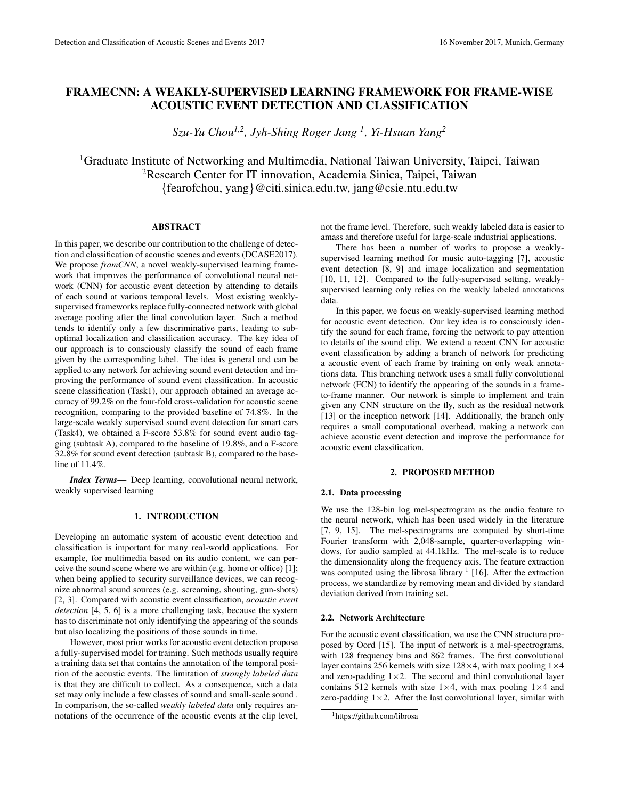# FRAMECNN: A WEAKLY-SUPERVISED LEARNING FRAMEWORK FOR FRAME-WISE ACOUSTIC EVENT DETECTION AND CLASSIFICATION

*Szu-Yu Chou1,2, Jyh-Shing Roger Jang <sup>1</sup> , Yi-Hsuan Yang<sup>2</sup>*

<sup>1</sup>Graduate Institute of Networking and Multimedia, National Taiwan University, Taipei, Taiwan <sup>2</sup>Research Center for IT innovation, Academia Sinica, Taipei, Taiwan {fearofchou, yang}@citi.sinica.edu.tw, jang@csie.ntu.edu.tw

# ABSTRACT

In this paper, we describe our contribution to the challenge of detection and classification of acoustic scenes and events (DCASE2017). We propose *framCNN*, a novel weakly-supervised learning framework that improves the performance of convolutional neural network (CNN) for acoustic event detection by attending to details of each sound at various temporal levels. Most existing weaklysupervised frameworks replace fully-connected network with global average pooling after the final convolution layer. Such a method tends to identify only a few discriminative parts, leading to suboptimal localization and classification accuracy. The key idea of our approach is to consciously classify the sound of each frame given by the corresponding label. The idea is general and can be applied to any network for achieving sound event detection and improving the performance of sound event classification. In acoustic scene classification (Task1), our approach obtained an average accuracy of 99.2% on the four-fold cross-validation for acoustic scene recognition, comparing to the provided baseline of 74.8%. In the large-scale weakly supervised sound event detection for smart cars (Task4), we obtained a F-score 53.8% for sound event audio tagging (subtask A), compared to the baseline of 19.8%, and a F-score 32.8% for sound event detection (subtask B), compared to the baseline of 11.4%.

*Index Terms*— Deep learning, convolutional neural network, weakly supervised learning

# 1. INTRODUCTION

Developing an automatic system of acoustic event detection and classification is important for many real-world applications. For example, for multimedia based on its audio content, we can perceive the sound scene where we are within (e.g. home or office) [1]; when being applied to security surveillance devices, we can recognize abnormal sound sources (e.g. screaming, shouting, gun-shots) [2, 3]. Compared with acoustic event classification, *acoustic event detection* [4, 5, 6] is a more challenging task, because the system has to discriminate not only identifying the appearing of the sounds but also localizing the positions of those sounds in time.

However, most prior works for acoustic event detection propose a fully-supervised model for training. Such methods usually require a training data set that contains the annotation of the temporal position of the acoustic events. The limitation of *strongly labeled data* is that they are difficult to collect. As a consequence, such a data set may only include a few classes of sound and small-scale sound . In comparison, the so-called *weakly labeled data* only requires annotations of the occurrence of the acoustic events at the clip level, not the frame level. Therefore, such weakly labeled data is easier to amass and therefore useful for large-scale industrial applications.

There has been a number of works to propose a weaklysupervised learning method for music auto-tagging [7], acoustic event detection [8, 9] and image localization and segmentation [10, 11, 12]. Compared to the fully-supervised setting, weaklysupervised learning only relies on the weakly labeled annotations data.

In this paper, we focus on weakly-supervised learning method for acoustic event detection. Our key idea is to consciously identify the sound for each frame, forcing the network to pay attention to details of the sound clip. We extend a recent CNN for acoustic event classification by adding a branch of network for predicting a acoustic event of each frame by training on only weak annotations data. This branching network uses a small fully convolutional network (FCN) to identify the appearing of the sounds in a frameto-frame manner. Our network is simple to implement and train given any CNN structure on the fly, such as the residual network [13] or the inception network [14]. Additionally, the branch only requires a small computational overhead, making a network can achieve acoustic event detection and improve the performance for acoustic event classification.

# 2. PROPOSED METHOD

# 2.1. Data processing

We use the 128-bin log mel-spectrogram as the audio feature to the neural network, which has been used widely in the literature [7, 9, 15]. The mel-spectrograms are computed by short-time Fourier transform with 2,048-sample, quarter-overlapping windows, for audio sampled at 44.1kHz. The mel-scale is to reduce the dimensionality along the frequency axis. The feature extraction was computed using the librosa library  $1$  [16]. After the extraction process, we standardize by removing mean and divided by standard deviation derived from training set.

### 2.2. Network Architecture

For the acoustic event classification, we use the CNN structure proposed by Oord [15]. The input of network is a mel-spectrograms, with 128 frequency bins and 862 frames. The first convolutional layer contains 256 kernels with size  $128\times4$ , with max pooling  $1\times4$ and zero-padding  $1\times 2$ . The second and third convolutional layer contains 512 kernels with size  $1\times4$ , with max pooling  $1\times4$  and zero-padding  $1 \times 2$ . After the last convolutional layer, similar with

<sup>1</sup>https://github.com/librosa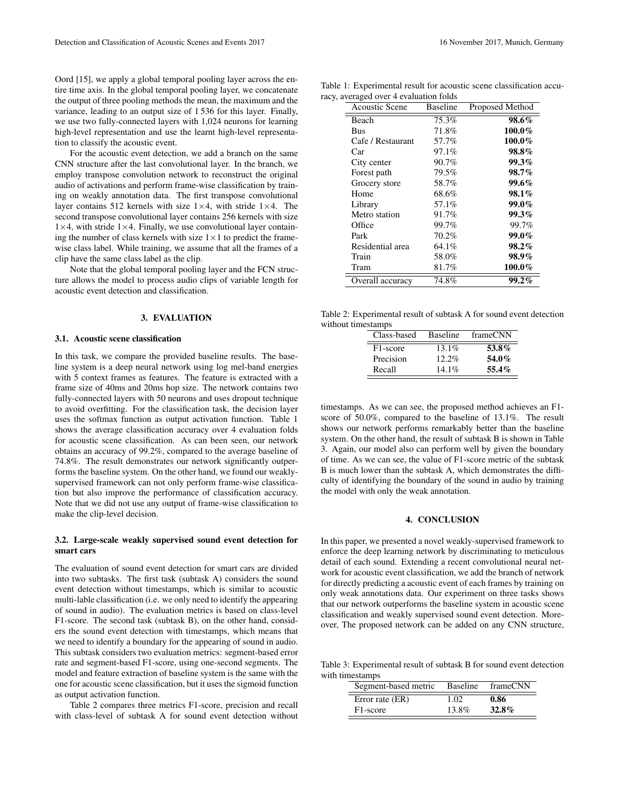Oord [15], we apply a global temporal pooling layer across the entire time axis. In the global temporal pooling layer, we concatenate the output of three pooling methods the mean, the maximum and the variance, leading to an output size of 1 536 for this layer. Finally, we use two fully-connected layers with 1,024 neurons for learning high-level representation and use the learnt high-level representation to classify the acoustic event.

For the acoustic event detection, we add a branch on the same CNN structure after the last convolutional layer. In the branch, we employ transpose convolution network to reconstruct the original audio of activations and perform frame-wise classification by training on weakly annotation data. The first transpose convolutional layer contains 512 kernels with size  $1\times4$ , with stride  $1\times4$ . The second transpose convolutional layer contains 256 kernels with size  $1\times4$ , with stride  $1\times4$ . Finally, we use convolutional layer containing the number of class kernels with size  $1 \times 1$  to predict the framewise class label. While training, we assume that all the frames of a clip have the same class label as the clip.

Note that the global temporal pooling layer and the FCN structure allows the model to process audio clips of variable length for acoustic event detection and classification.

## 3. EVALUATION

# 3.1. Acoustic scene classification

In this task, we compare the provided baseline results. The baseline system is a deep neural network using log mel-band energies with 5 context frames as features. The feature is extracted with a frame size of 40ms and 20ms hop size. The network contains two fully-connected layers with 50 neurons and uses dropout technique to avoid overfitting. For the classification task, the decision layer uses the softmax function as output activation function. Table 1 shows the average classification accuracy over 4 evaluation folds for acoustic scene classification. As can been seen, our network obtains an accuracy of 99.2%, compared to the average baseline of 74.8%. The result demonstrates our network significantly outperforms the baseline system. On the other hand, we found our weaklysupervised framework can not only perform frame-wise classification but also improve the performance of classification accuracy. Note that we did not use any output of frame-wise classification to make the clip-level decision.

## 3.2. Large-scale weakly supervised sound event detection for smart cars

The evaluation of sound event detection for smart cars are divided into two subtasks. The first task (subtask A) considers the sound event detection without timestamps, which is similar to acoustic multi-lable classification (i.e. we only need to identify the appearing of sound in audio). The evaluation metrics is based on class-level F1-score. The second task (subtask B), on the other hand, considers the sound event detection with timestamps, which means that we need to identify a boundary for the appearing of sound in audio. This subtask considers two evaluation metrics: segment-based error rate and segment-based F1-score, using one-second segments. The model and feature extraction of baseline system is the same with the one for acoustic scene classification, but it uses the sigmoid function as output activation function.

Table 2 compares three metrics F1-score, precision and recall with class-level of subtask A for sound event detection without

Table 1: Experimental result for acoustic scene classification accuracy, averaged over 4 evaluation folds

| <b>Acoustic Scene</b> | <b>Baseline</b> | Proposed Method |
|-----------------------|-----------------|-----------------|
| <b>Beach</b>          | 75.3%           | $98.6\%$        |
| <b>Bus</b>            | 71.8%           | 100.0%          |
| Cafe / Restaurant     | 57.7%           | 100.0%          |
| Car                   | 97.1%           | 98.8%           |
| City center           | 90.7%           | 99.3%           |
| Forest path           | 79.5%           | 98.7%           |
| Grocery store         | 58.7%           | <b>99.6%</b>    |
| Home                  | 68.6%           | $98.1\%$        |
| Library               | 57.1%           | 99.0%           |
| Metro station         | 91.7%           | 99.3%           |
| Office                | 99.7%           | 99.7%           |
| Park                  | 70.2%           | 99.0%           |
| Residential area      | 64.1%           | 98.2%           |
| Train                 | 58.0%           | $98.9\%$        |
| Tram                  | 81.7%           | 100.0%          |
| Overall accuracy      | 74.8%           | 99.2%           |

Table 2: Experimental result of subtask A for sound event detection without timestamps

| Class-based           | <b>Baseline</b> | frameCNN |
|-----------------------|-----------------|----------|
| F <sub>1</sub> -score | $13.1\%$        | 53.8%    |
| Precision             | $12.2\%$        | 54.0%    |
| Recall                | 14.1%           | 55.4%    |

timestamps. As we can see, the proposed method achieves an F1 score of 50.0%, compared to the baseline of 13.1%. The result shows our network performs remarkably better than the baseline system. On the other hand, the result of subtask B is shown in Table 3. Again, our model also can perform well by given the boundary of time. As we can see, the value of F1-score metric of the subtask B is much lower than the subtask A, which demonstrates the difficulty of identifying the boundary of the sound in audio by training the model with only the weak annotation.

#### 4. CONCLUSION

In this paper, we presented a novel weakly-supervised framework to enforce the deep learning network by discriminating to meticulous detail of each sound. Extending a recent convolutional neural network for acoustic event classification, we add the branch of network for directly predicting a acoustic event of each frames by training on only weak annotations data. Our experiment on three tasks shows that our network outperforms the baseline system in acoustic scene classification and weakly supervised sound event detection. Moreover, The proposed network can be added on any CNN structure,

Table 3: Experimental result of subtask B for sound event detection with timestamps

| Segment-based metric  | Baseline | frameCNN |
|-----------------------|----------|----------|
| Error rate (ER)       | 1.02     | 0.86     |
| F <sub>1</sub> -score | 13.8%    | 32.8%    |